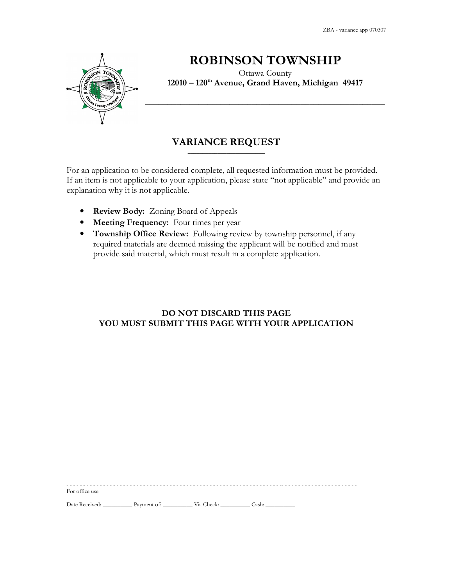ZBA - variance app 070307



# ROBINSON TOWNSHIP

Ottawa County 12010 – 120<sup>th</sup> Avenue, Grand Haven, Michigan 49417

### VARIANCE REQUEST \_\_\_\_\_\_\_\_\_\_\_\_\_\_\_\_\_\_\_\_\_\_\_\_\_\_

For an application to be considered complete, all requested information must be provided. If an item is not applicable to your application, please state "not applicable" and provide an explanation why it is not applicable.

- Review Body: Zoning Board of Appeals
- Meeting Frequency: Four times per year
- Township Office Review: Following review by township personnel, if any required materials are deemed missing the applicant will be notified and must provide said material, which must result in a complete application.

## DO NOT DISCARD THIS PAGE YOU MUST SUBMIT THIS PAGE WITH YOUR APPLICATION

- - - - - - - - - - - - - - - - - - - - - - - - - - - - - - - - - - - - - - - - - - - - - - - - - - - - - - - - - - - - - - - - -- - - - - - - - - - - - - - - - - - - - - - -

For office use

Date Received: \_\_\_\_\_\_\_\_\_\_\_\_ Payment of: \_\_\_\_\_\_\_\_\_\_\_\_\_ Via Check: \_\_\_\_\_\_\_\_\_\_\_ Cash: \_\_\_\_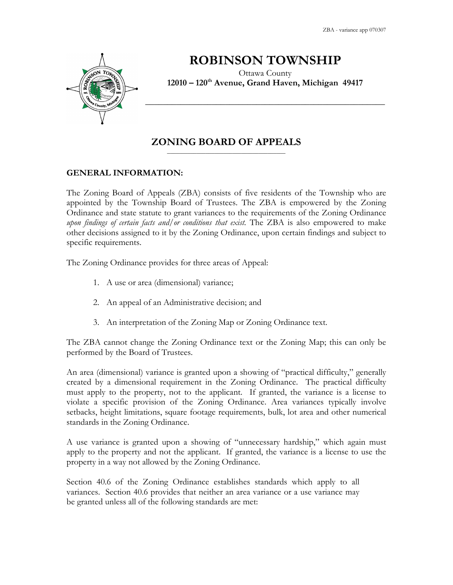ZBA - variance app 070307



## ROBINSON TOWNSHIP

Ottawa County 12010 – 120<sup>th</sup> Avenue, Grand Haven, Michigan 49417

\_\_\_\_\_\_\_\_\_\_\_\_\_\_\_\_\_\_\_\_\_\_\_\_\_\_\_\_\_\_\_\_\_\_\_\_\_\_\_\_\_\_\_\_\_\_\_\_\_\_\_\_\_\_

## ZONING BOARD OF APPEALS  $\overline{\phantom{a}}$  , and the set of the set of the set of the set of the set of the set of the set of the set of the set of the set of the set of the set of the set of the set of the set of the set of the set of the set of the s

## GENERAL INFORMATION:

The Zoning Board of Appeals (ZBA) consists of five residents of the Township who are appointed by the Township Board of Trustees. The ZBA is empowered by the Zoning Ordinance and state statute to grant variances to the requirements of the Zoning Ordinance upon findings of certain facts and/or conditions that exist. The ZBA is also empowered to make other decisions assigned to it by the Zoning Ordinance, upon certain findings and subject to specific requirements.

The Zoning Ordinance provides for three areas of Appeal:

- 1. A use or area (dimensional) variance;
- 2. An appeal of an Administrative decision; and
- 3. An interpretation of the Zoning Map or Zoning Ordinance text.

The ZBA cannot change the Zoning Ordinance text or the Zoning Map; this can only be performed by the Board of Trustees.

An area (dimensional) variance is granted upon a showing of "practical difficulty," generally created by a dimensional requirement in the Zoning Ordinance. The practical difficulty must apply to the property, not to the applicant. If granted, the variance is a license to violate a specific provision of the Zoning Ordinance. Area variances typically involve setbacks, height limitations, square footage requirements, bulk, lot area and other numerical standards in the Zoning Ordinance.

A use variance is granted upon a showing of "unnecessary hardship," which again must apply to the property and not the applicant. If granted, the variance is a license to use the property in a way not allowed by the Zoning Ordinance.

Section 40.6 of the Zoning Ordinance establishes standards which apply to all variances. Section 40.6 provides that neither an area variance or a use variance may be granted unless all of the following standards are met: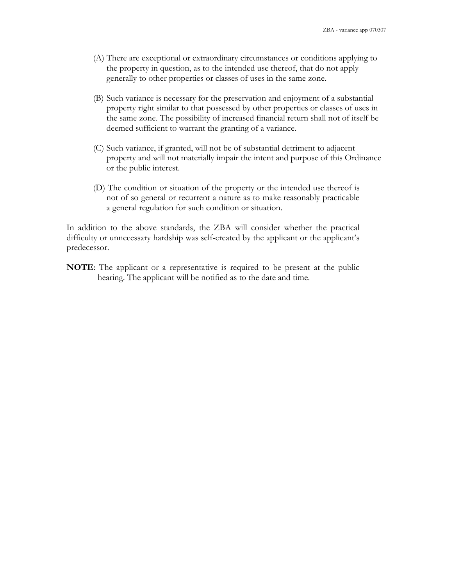- (A) There are exceptional or extraordinary circumstances or conditions applying to the property in question, as to the intended use thereof, that do not apply generally to other properties or classes of uses in the same zone.
- (B) Such variance is necessary for the preservation and enjoyment of a substantial property right similar to that possessed by other properties or classes of uses in the same zone. The possibility of increased financial return shall not of itself be deemed sufficient to warrant the granting of a variance.
- (C) Such variance, if granted, will not be of substantial detriment to adjacent property and will not materially impair the intent and purpose of this Ordinance or the public interest.
- (D) The condition or situation of the property or the intended use thereof is not of so general or recurrent a nature as to make reasonably practicable a general regulation for such condition or situation.

In addition to the above standards, the ZBA will consider whether the practical difficulty or unnecessary hardship was self-created by the applicant or the applicant's predecessor.

NOTE: The applicant or a representative is required to be present at the public hearing. The applicant will be notified as to the date and time.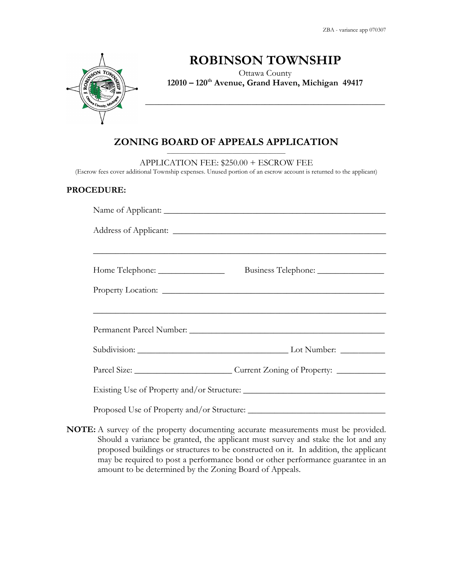ZBA - variance app 070307



## ROBINSON TOWNSHIP

Ottawa County 12010 – 120<sup>th</sup> Avenue, Grand Haven, Michigan 49417

\_\_\_\_\_\_\_\_\_\_\_\_\_\_\_\_\_\_\_\_\_\_\_\_\_\_\_\_\_\_\_\_\_\_\_\_\_\_\_\_\_\_\_\_\_\_\_\_\_\_\_\_\_\_

#### ZONING BOARD OF APPEALS APPLICATION  $\overline{\phantom{a}}$  , and the set of the set of the set of the set of the set of the set of the set of the set of the set of the set of the set of the set of the set of the set of the set of the set of the set of the set of the s

APPLICATION FEE: \$250.00 + ESCROW FEE

(Escrow fees cover additional Township expenses. Unused portion of an escrow account is returned to the applicant)

#### PROCEDURE:

| Subdivision: Lot Number: Lot Number:     |
|------------------------------------------|
| Parcel Size: Current Zoning of Property: |
|                                          |

NOTE: A survey of the property documenting accurate measurements must be provided. Should a variance be granted, the applicant must survey and stake the lot and any proposed buildings or structures to be constructed on it. In addition, the applicant may be required to post a performance bond or other performance guarantee in an amount to be determined by the Zoning Board of Appeals.